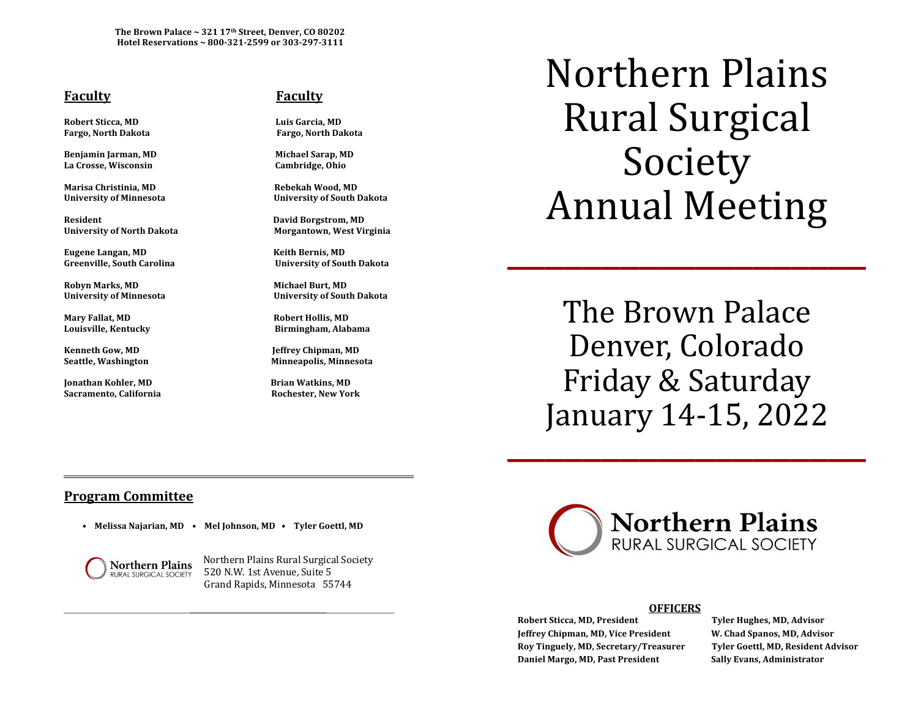The Brown Palace ~ 321 17<sup>th</sup> Street, Denver, CO 80202 Hotel Reservations ~ 800-321-2599 or 303-297-3111

## **Faculty COVIDE: COVIDE: COVIDE: COVIDE: COVIDE: COVIDE: COVIDE: COVIDE: COVIDE: COVIDE: COVIDE: COVIDE: COVIDE: COVIDE: COVIDE: COVIDE: COVIDE: COVIDE: COVIDE: COVIDE: COVIDE: C**

**Robert Sticca, MD Luis Garcia, MD Fargo, North Dakota Fargo, North Dakota**

**Benjamin Jarman, MD Michael Sarap, MD** La Crosse, Wisconsin **and Cambridge**, Ohio

**Marisa Christinia, MD Rebekah Wood, MD**

**Resident David Borgstrom, MD University of North Dakota Morgantown, West Virginia** 

**Eugene Langan, MD Keith Bernis, MD**

**Robyn Marks, MD Michael Burt, MD**

**Mary Fallat, MD Robert Hollis, MD**

**Kenneth Gow, MD** *I* **and** *S* **is a set of the MD** *Ieffrey Chipman, MD* 

**Jonathan Kohler, MD Brian Watkins, MD** Sacramento, California **Bidda California** Rochester, New York

**University of Minnesota University of South Dakota**

**Greenville, South Carolina University of South Dakota**

University of Minnesota *Minnesota Minnesota University* of South Dakota

Louisville, Kentucky *Networky* **Birmingham, Alabama** 

Seattle, Washington *Minneapolis, Minnesota Minneapolis* 

Northern Plains Rural Surgical Society Annual Meeting \_\_\_\_\_\_\_\_\_\_\_\_\_\_\_\_\_\_\_

The Brown Palace Denver, Colorado Friday & Saturday January 14-15, 2022

# **Program Committee**

• Melissa Najarian, MD • Mel Johnson, MD • Tyler Goettl, MD



Northern Plains Northern Plains Rural Surgical Society **RURAL SURGICAL SOCIETY** 520 N.W. 1st Avenue, Suite 5 Grand Rapids, Minnesota 55744



## \_\_\_\_\_\_\_\_\_\_\_\_\_\_\_\_\_\_\_\_\_\_\_\_\_\_\_\_\_ \_\_\_\_\_\_\_\_\_\_\_\_\_\_\_\_\_\_\_\_\_\_\_\_\_\_\_\_\_\_\_\_\_\_\_\_\_\_\_\_\_\_\_\_\_\_\_\_\_\_\_  **OFFICERS**

**Robert Sticca, MD, President Tyler Hughes, MD, Advisor Jeffrey Chipman, MD, Vice President W. Chad Spanos, MD, Advisor Roy Tinguely, MD, Secretary/Treasurer Tyler Goettl, MD, Resident Advisor Daniel Margo, MD, Past President Sally Evans, Administrator**